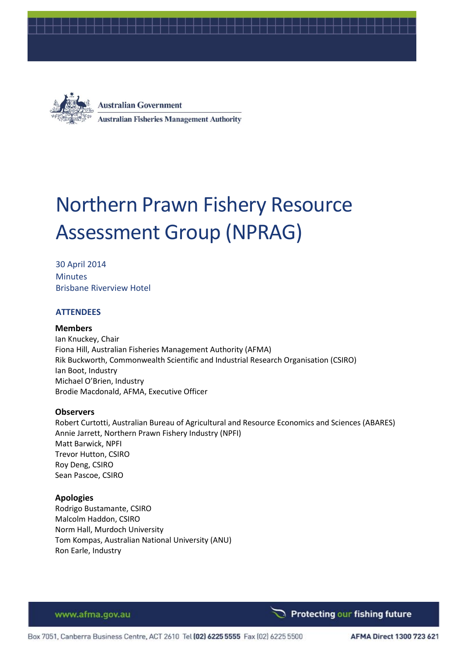



**Australian Government Australian Fisheries Management Authority** 

# Northern Prawn Fishery Resource Assessment Group (NPRAG)

30 April 2014 **Minutes** Brisbane Riverview Hotel

## **ATTENDEES**

## **Members**

Ian Knuckey, Chair Fiona Hill, Australian Fisheries Management Authority (AFMA) Rik Buckworth, Commonwealth Scientific and Industrial Research Organisation (CSIRO) Ian Boot, Industry Michael O'Brien, Industry Brodie Macdonald, AFMA, Executive Officer

#### **Observers**

Robert Curtotti, Australian Bureau of Agricultural and Resource Economics and Sciences (ABARES) Annie Jarrett, Northern Prawn Fishery Industry (NPFI) Matt Barwick, NPFI Trevor Hutton, CSIRO Roy Deng, CSIRO Sean Pascoe, CSIRO

#### **Apologies**

Rodrigo Bustamante, CSIRO Malcolm Haddon, CSIRO Norm Hall, Murdoch University Tom Kompas, Australian National University (ANU) Ron Earle, Industry

www.afma.gov.au

Protecting our fishing future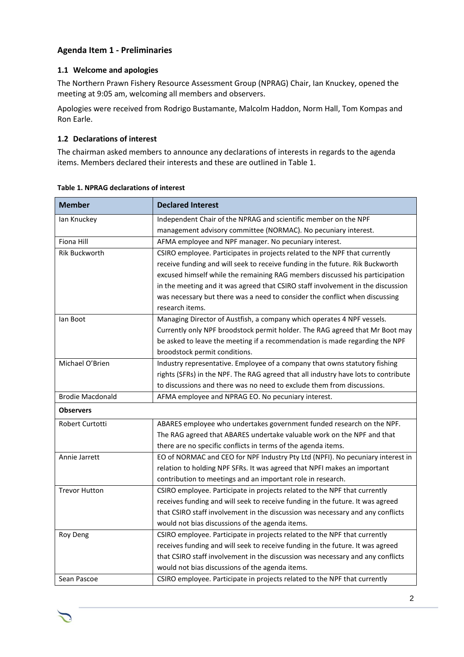# **Agenda Item 1 - Preliminaries**

## **1.1 Welcome and apologies**

The Northern Prawn Fishery Resource Assessment Group (NPRAG) Chair, Ian Knuckey, opened the meeting at 9:05 am, welcoming all members and observers.

Apologies were received from Rodrigo Bustamante, Malcolm Haddon, Norm Hall, Tom Kompas and Ron Earle.

## **1.2 Declarations of interest**

The chairman asked members to announce any declarations of interests in regards to the agenda items. Members declared their interests and these are outlined in [Table 1.](#page-1-0)

| <b>Member</b>           | <b>Declared Interest</b>                                                           |
|-------------------------|------------------------------------------------------------------------------------|
| lan Knuckey             | Independent Chair of the NPRAG and scientific member on the NPF                    |
|                         | management advisory committee (NORMAC). No pecuniary interest.                     |
| <b>Fiona Hill</b>       | AFMA employee and NPF manager. No pecuniary interest.                              |
| <b>Rik Buckworth</b>    | CSIRO employee. Participates in projects related to the NPF that currently         |
|                         | receive funding and will seek to receive funding in the future. Rik Buckworth      |
|                         | excused himself while the remaining RAG members discussed his participation        |
|                         | in the meeting and it was agreed that CSIRO staff involvement in the discussion    |
|                         | was necessary but there was a need to consider the conflict when discussing        |
|                         | research items.                                                                    |
| lan Boot                | Managing Director of Austfish, a company which operates 4 NPF vessels.             |
|                         | Currently only NPF broodstock permit holder. The RAG agreed that Mr Boot may       |
|                         | be asked to leave the meeting if a recommendation is made regarding the NPF        |
|                         | broodstock permit conditions.                                                      |
| Michael O'Brien         | Industry representative. Employee of a company that owns statutory fishing         |
|                         | rights (SFRs) in the NPF. The RAG agreed that all industry have lots to contribute |
|                         | to discussions and there was no need to exclude them from discussions.             |
| <b>Brodie Macdonald</b> | AFMA employee and NPRAG EO. No pecuniary interest.                                 |
| <b>Observers</b>        |                                                                                    |
| Robert Curtotti         | ABARES employee who undertakes government funded research on the NPF.              |
|                         | The RAG agreed that ABARES undertake valuable work on the NPF and that             |
|                         | there are no specific conflicts in terms of the agenda items.                      |
| Annie Jarrett           | EO of NORMAC and CEO for NPF Industry Pty Ltd (NPFI). No pecuniary interest in     |
|                         | relation to holding NPF SFRs. It was agreed that NPFI makes an important           |
|                         | contribution to meetings and an important role in research.                        |
| <b>Trevor Hutton</b>    | CSIRO employee. Participate in projects related to the NPF that currently          |
|                         | receives funding and will seek to receive funding in the future. It was agreed     |
|                         | that CSIRO staff involvement in the discussion was necessary and any conflicts     |
|                         | would not bias discussions of the agenda items.                                    |
| Roy Deng                | CSIRO employee. Participate in projects related to the NPF that currently          |
|                         | receives funding and will seek to receive funding in the future. It was agreed     |
|                         | that CSIRO staff involvement in the discussion was necessary and any conflicts     |
|                         | would not bias discussions of the agenda items.                                    |
| Sean Pascoe             | CSIRO employee. Participate in projects related to the NPF that currently          |

## <span id="page-1-0"></span>**Table 1. NPRAG declarations of interest**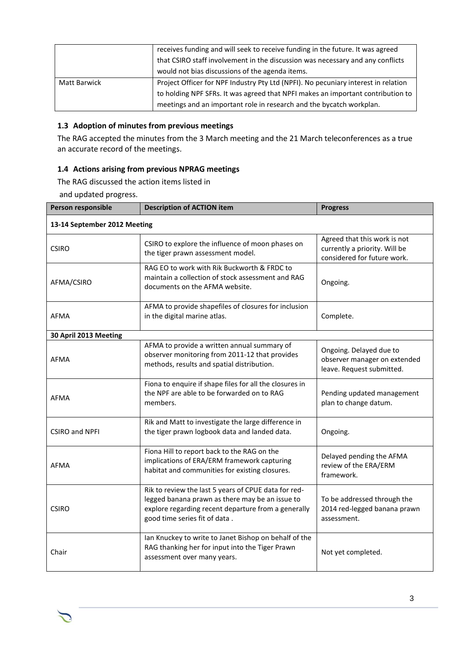|                     | receives funding and will seek to receive funding in the future. It was agreed     |  |  |  |  |  |
|---------------------|------------------------------------------------------------------------------------|--|--|--|--|--|
|                     | that CSIRO staff involvement in the discussion was necessary and any conflicts     |  |  |  |  |  |
|                     | would not bias discussions of the agenda items.                                    |  |  |  |  |  |
| <b>Matt Barwick</b> | Project Officer for NPF Industry Pty Ltd (NPFI). No pecuniary interest in relation |  |  |  |  |  |
|                     | to holding NPF SFRs. It was agreed that NPFI makes an important contribution to    |  |  |  |  |  |
|                     | meetings and an important role in research and the bycatch workplan.               |  |  |  |  |  |

## **1.3 Adoption of minutes from previous meetings**

The RAG accepted the minutes from the 3 March meeting and the 21 March teleconferences as a true an accurate record of the meetings.

## **1.4 Actions arising from previous NPRAG meetings**

The RAG discussed the action items listed i[n](#page-2-0) 

<span id="page-2-0"></span>and updated progress.

| Person responsible           | <b>Description of ACTION item</b>                                                                                                                                                               | <b>Progress</b>                                                                              |  |
|------------------------------|-------------------------------------------------------------------------------------------------------------------------------------------------------------------------------------------------|----------------------------------------------------------------------------------------------|--|
| 13-14 September 2012 Meeting |                                                                                                                                                                                                 |                                                                                              |  |
| <b>CSIRO</b>                 | CSIRO to explore the influence of moon phases on<br>the tiger prawn assessment model.                                                                                                           | Agreed that this work is not<br>currently a priority. Will be<br>considered for future work. |  |
| AFMA/CSIRO                   | RAG EO to work with Rik Buckworth & FRDC to<br>maintain a collection of stock assessment and RAG<br>documents on the AFMA website.                                                              | Ongoing.                                                                                     |  |
| <b>AFMA</b>                  | AFMA to provide shapefiles of closures for inclusion<br>in the digital marine atlas.                                                                                                            | Complete.                                                                                    |  |
| 30 April 2013 Meeting        |                                                                                                                                                                                                 |                                                                                              |  |
| <b>AFMA</b>                  | AFMA to provide a written annual summary of<br>observer monitoring from 2011-12 that provides<br>methods, results and spatial distribution.                                                     | Ongoing. Delayed due to<br>observer manager on extended<br>leave. Request submitted.         |  |
| <b>AFMA</b>                  | Fiona to enquire if shape files for all the closures in<br>the NPF are able to be forwarded on to RAG<br>members.                                                                               | Pending updated management<br>plan to change datum.                                          |  |
| <b>CSIRO and NPFI</b>        | Rik and Matt to investigate the large difference in<br>the tiger prawn logbook data and landed data.                                                                                            | Ongoing.                                                                                     |  |
| <b>AFMA</b>                  | Delayed pending the AFMA<br>review of the ERA/ERM<br>framework.                                                                                                                                 |                                                                                              |  |
| <b>CSIRO</b>                 | Rik to review the last 5 years of CPUE data for red-<br>legged banana prawn as there may be an issue to<br>explore regarding recent departure from a generally<br>good time series fit of data. | To be addressed through the<br>2014 red-legged banana prawn<br>assessment.                   |  |
| Chair                        | Ian Knuckey to write to Janet Bishop on behalf of the<br>RAG thanking her for input into the Tiger Prawn<br>assessment over many years.                                                         | Not yet completed.                                                                           |  |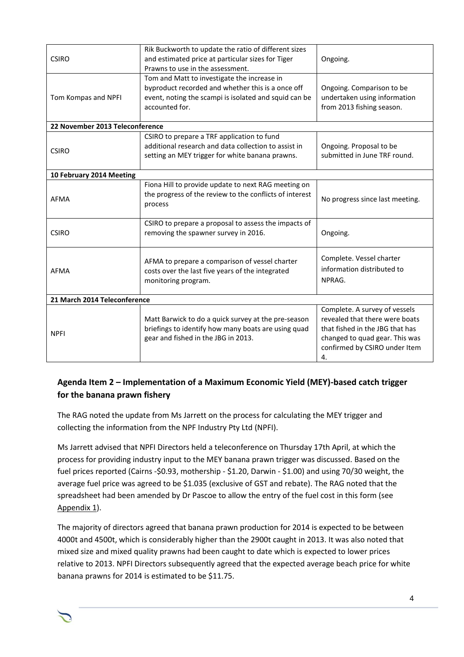| <b>CSIRO</b>                    | Rik Buckworth to update the ratio of different sizes<br>and estimated price at particular sizes for Tiger<br>Prawns to use in the assessment.                               | Ongoing.                                                                                                                                                                    |
|---------------------------------|-----------------------------------------------------------------------------------------------------------------------------------------------------------------------------|-----------------------------------------------------------------------------------------------------------------------------------------------------------------------------|
| Tom Kompas and NPFI             | Tom and Matt to investigate the increase in<br>byproduct recorded and whether this is a once off<br>event, noting the scampi is isolated and squid can be<br>accounted for. | Ongoing. Comparison to be<br>undertaken using information<br>from 2013 fishing season.                                                                                      |
| 22 November 2013 Teleconference |                                                                                                                                                                             |                                                                                                                                                                             |
| <b>CSIRO</b>                    | CSIRO to prepare a TRF application to fund<br>additional research and data collection to assist in<br>setting an MEY trigger for white banana prawns.                       | Ongoing. Proposal to be<br>submitted in June TRF round.                                                                                                                     |
| 10 February 2014 Meeting        |                                                                                                                                                                             |                                                                                                                                                                             |
| <b>AFMA</b>                     | Fiona Hill to provide update to next RAG meeting on<br>the progress of the review to the conflicts of interest<br>process                                                   | No progress since last meeting.                                                                                                                                             |
| <b>CSIRO</b>                    | CSIRO to prepare a proposal to assess the impacts of<br>removing the spawner survey in 2016.                                                                                | Ongoing.                                                                                                                                                                    |
| <b>AFMA</b>                     | AFMA to prepare a comparison of vessel charter<br>costs over the last five years of the integrated<br>monitoring program.                                                   | Complete. Vessel charter<br>information distributed to<br>NPRAG.                                                                                                            |
| 21 March 2014 Teleconference    |                                                                                                                                                                             |                                                                                                                                                                             |
| <b>NPFI</b>                     | Matt Barwick to do a quick survey at the pre-season<br>briefings to identify how many boats are using quad<br>gear and fished in the JBG in 2013.                           | Complete. A survey of vessels<br>revealed that there were boats<br>that fished in the JBG that has<br>changed to quad gear. This was<br>confirmed by CSIRO under Item<br>4. |

# **Agenda Item 2 – Implementation of a Maximum Economic Yield (MEY)-based catch trigger for the banana prawn fishery**

The RAG noted the update from Ms Jarrett on the process for calculating the MEY trigger and collecting the information from the NPF Industry Pty Ltd (NPFI).

Ms Jarrett advised that NPFI Directors held a teleconference on Thursday 17th April, at which the process for providing industry input to the MEY banana prawn trigger was discussed. Based on the fuel prices reported (Cairns -\$0.93, mothership - \$1.20, Darwin - \$1.00) and using 70/30 weight, the average fuel price was agreed to be \$1.035 (exclusive of GST and rebate). The RAG noted that the spreadsheet had been amended by Dr Pascoe to allow the entry of the fuel cost in this form (see Appendix 1).

The majority of directors agreed that banana prawn production for 2014 is expected to be between 4000t and 4500t, which is considerably higher than the 2900t caught in 2013. It was also noted that mixed size and mixed quality prawns had been caught to date which is expected to lower prices relative to 2013. NPFI Directors subsequently agreed that the expected average beach price for white banana prawns for 2014 is estimated to be \$11.75.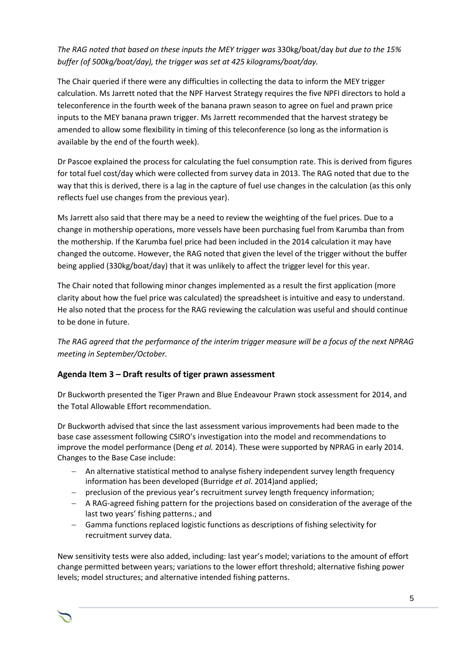# *The RAG noted that based on these inputs the MEY trigger was* 330kg/boat/day *but due to the 15% buffer (of 500kg/boat/day), the trigger was set at 425 kilograms/boat/day.*

The Chair queried if there were any difficulties in collecting the data to inform the MEY trigger calculation. Ms Jarrett noted that the NPF Harvest Strategy requires the five NPFI directors to hold a teleconference in the fourth week of the banana prawn season to agree on fuel and prawn price inputs to the MEY banana prawn trigger. Ms Jarrett recommended that the harvest strategy be amended to allow some flexibility in timing of this teleconference (so long as the information is available by the end of the fourth week).

Dr Pascoe explained the process for calculating the fuel consumption rate. This is derived from figures for total fuel cost/day which were collected from survey data in 2013. The RAG noted that due to the way that this is derived, there is a lag in the capture of fuel use changes in the calculation (as this only reflects fuel use changes from the previous year).

Ms Jarrett also said that there may be a need to review the weighting of the fuel prices. Due to a change in mothership operations, more vessels have been purchasing fuel from Karumba than from the mothership. If the Karumba fuel price had been included in the 2014 calculation it may have changed the outcome. However, the RAG noted that given the level of the trigger without the buffer being applied (330kg/boat/day) that it was unlikely to affect the trigger level for this year.

The Chair noted that following minor changes implemented as a result the first application (more clarity about how the fuel price was calculated) the spreadsheet is intuitive and easy to understand. He also noted that the process for the RAG reviewing the calculation was useful and should continue to be done in future.

*The RAG agreed that the performance of the interim trigger measure will be a focus of the next NPRAG meeting in September/October.* 

# **Agenda Item 3 – Draft results of tiger prawn assessment**

Dr Buckworth presented the Tiger Prawn and Blue Endeavour Prawn stock assessment for 2014, and the Total Allowable Effort recommendation.

Dr Buckworth advised that since the last assessment various improvements had been made to the base case assessment following CSIRO's investigation into the model and recommendations to improve the model performance (Deng *et al.* 2014). These were supported by NPRAG in early 2014. Changes to the Base Case include:

- An alternative statistical method to analyse fishery independent survey length frequency information has been developed (Burridge *et al*. 2014)and applied;
- preclusion of the previous year's recruitment survey length frequency information;
- A RAG-agreed fishing pattern for the projections based on consideration of the average of the last two years' fishing patterns.; and
- Gamma functions replaced logistic functions as descriptions of fishing selectivity for recruitment survey data.

New sensitivity tests were also added, including: last year's model; variations to the amount of effort change permitted between years; variations to the lower effort threshold; alternative fishing power levels; model structures; and alternative intended fishing patterns.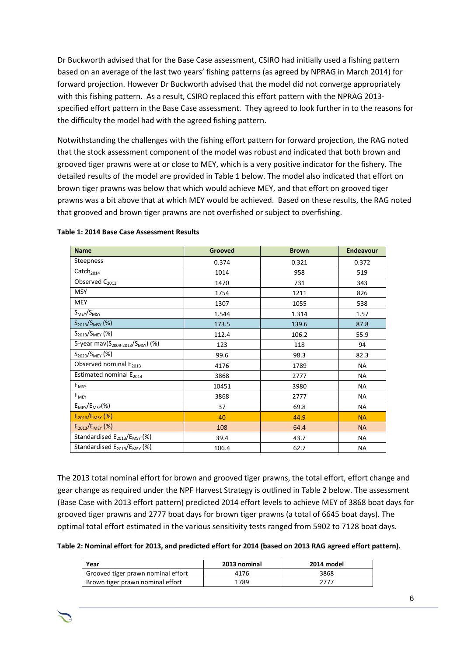Dr Buckworth advised that for the Base Case assessment, CSIRO had initially used a fishing pattern based on an average of the last two years' fishing patterns (as agreed by NPRAG in March 2014) for forward projection. However Dr Buckworth advised that the model did not converge appropriately with this fishing pattern. As a result, CSIRO replaced this effort pattern with the NPRAG 2013 specified effort pattern in the Base Case assessment. They agreed to look further in to the reasons for the difficulty the model had with the agreed fishing pattern.

Notwithstanding the challenges with the fishing effort pattern for forward projection, the RAG noted that the stock assessment component of the model was robust and indicated that both brown and grooved tiger prawns were at or close to MEY, which is a very positive indicator for the fishery. The detailed results of the model are provided in Table 1 below. The model also indicated that effort on brown tiger prawns was below that which would achieve MEY, and that effort on grooved tiger prawns was a bit above that at which MEY would be achieved. Based on these results, the RAG noted that grooved and brown tiger prawns are not overfished or subject to overfishing.

| <b>Name</b>                                               | Grooved | <b>Brown</b> | <b>Endeavour</b> |
|-----------------------------------------------------------|---------|--------------|------------------|
| Steepness                                                 | 0.374   | 0.321        | 0.372            |
| $\mathsf{Catch}_{2014}$                                   | 1014    | 958          | 519              |
| Observed C <sub>2013</sub>                                | 1470    | 731          | 343              |
| <b>MSY</b>                                                | 1754    | 1211         | 826              |
| <b>MEY</b>                                                | 1307    | 1055         | 538              |
| $S_{M E Y}/S_{M S Y}$                                     | 1.544   | 1.314        | 1.57             |
| $S_{2013}/S_{MSY}$ (%)                                    | 173.5   | 139.6        | 87.8             |
| $S_{2013}/S_{MEV}$ (%)                                    | 112.4   | 106.2        | 55.9             |
| 5-year mav(S <sub>2009-2013</sub> /S <sub>MSY</sub> ) (%) | 123     | 118          | 94               |
| $S_{2020}/S_{MEV}$ (%)                                    | 99.6    | 98.3         | 82.3             |
| Observed nominal E <sub>2013</sub>                        | 4176    | 1789         | <b>NA</b>        |
| Estimated nominal E <sub>2014</sub>                       | 3868    | 2777         | NA               |
| $E_{MSY}$                                                 | 10451   | 3980         | <b>NA</b>        |
| $E_{\text{MEV}}$                                          | 3868    | 2777         | <b>NA</b>        |
| $E_{MEV}/E_{MSV}$ (%)                                     | 37      | 69.8         | <b>NA</b>        |
| $E_{2013}/E_{MSY}$ (%)                                    | 40      | 44.9         | <b>NA</b>        |
| $E_{2013}/E_{MEV}$ (%)                                    | 108     | 64.4         | <b>NA</b>        |
| Standardised $E_{2013}/E_{MSY}$ (%)                       | 39.4    | 43.7         | <b>NA</b>        |
| Standardised E <sub>2013</sub> /E <sub>MEY</sub> (%)      | 106.4   | 62.7         | NA               |

#### **Table 1: 2014 Base Case Assessment Results**

The 2013 total nominal effort for brown and grooved tiger prawns, the total effort, effort change and gear change as required under the NPF Harvest Strategy is outlined in Table 2 below. The assessment (Base Case with 2013 effort pattern) predicted 2014 effort levels to achieve MEY of 3868 boat days for grooved tiger prawns and 2777 boat days for brown tiger prawns (a total of 6645 boat days). The optimal total effort estimated in the various sensitivity tests ranged from 5902 to 7128 boat days.

**Table 2: Nominal effort for 2013, and predicted effort for 2014 (based on 2013 RAG agreed effort pattern).**

| Year                               | 2013 nominal | 2014 model |  |
|------------------------------------|--------------|------------|--|
| Grooved tiger prawn nominal effort | 4176         | 3868       |  |
| Brown tiger prawn nominal effort   | 1789         | 2777       |  |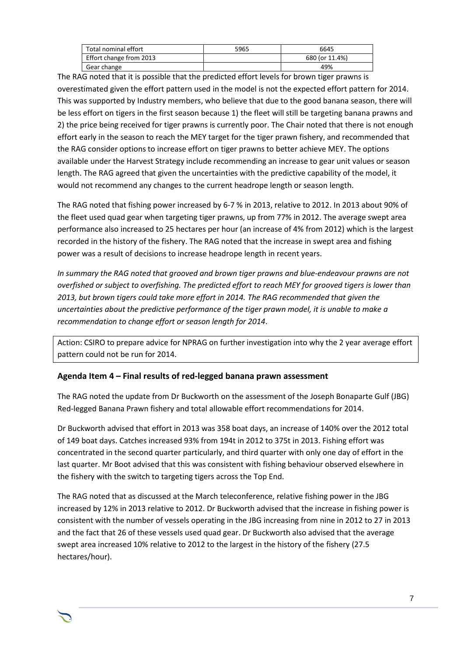| Total nominal effort    | 5965 | 6645           |
|-------------------------|------|----------------|
| Effort change from 2013 |      | 680 (or 11.4%) |
| Gear change             |      | 49%            |

The RAG noted that it is possible that the predicted effort levels for brown tiger prawns is overestimated given the effort pattern used in the model is not the expected effort pattern for 2014. This was supported by Industry members, who believe that due to the good banana season, there will be less effort on tigers in the first season because 1) the fleet will still be targeting banana prawns and 2) the price being received for tiger prawns is currently poor. The Chair noted that there is not enough effort early in the season to reach the MEY target for the tiger prawn fishery, and recommended that the RAG consider options to increase effort on tiger prawns to better achieve MEY. The options available under the Harvest Strategy include recommending an increase to gear unit values or season length. The RAG agreed that given the uncertainties with the predictive capability of the model, it would not recommend any changes to the current headrope length or season length.

The RAG noted that fishing power increased by 6-7 % in 2013, relative to 2012. In 2013 about 90% of the fleet used quad gear when targeting tiger prawns, up from 77% in 2012. The average swept area performance also increased to 25 hectares per hour (an increase of 4% from 2012) which is the largest recorded in the history of the fishery. The RAG noted that the increase in swept area and fishing power was a result of decisions to increase headrope length in recent years.

*In summary the RAG noted that grooved and brown tiger prawns and blue-endeavour prawns are not overfished or subject to overfishing. The predicted effort to reach MEY for grooved tigers is lower than 2013, but brown tigers could take more effort in 2014. The RAG recommended that given the uncertainties about the predictive performance of the tiger prawn model, it is unable to make a recommendation to change effort or season length for 2014*.

Action: CSIRO to prepare advice for NPRAG on further investigation into why the 2 year average effort pattern could not be run for 2014.

## **Agenda Item 4 – Final results of red-legged banana prawn assessment**

The RAG noted the update from Dr Buckworth on the assessment of the Joseph Bonaparte Gulf (JBG) Red-legged Banana Prawn fishery and total allowable effort recommendations for 2014.

Dr Buckworth advised that effort in 2013 was 358 boat days, an increase of 140% over the 2012 total of 149 boat days. Catches increased 93% from 194t in 2012 to 375t in 2013. Fishing effort was concentrated in the second quarter particularly, and third quarter with only one day of effort in the last quarter. Mr Boot advised that this was consistent with fishing behaviour observed elsewhere in the fishery with the switch to targeting tigers across the Top End.

The RAG noted that as discussed at the March teleconference, relative fishing power in the JBG increased by 12% in 2013 relative to 2012. Dr Buckworth advised that the increase in fishing power is consistent with the number of vessels operating in the JBG increasing from nine in 2012 to 27 in 2013 and the fact that 26 of these vessels used quad gear. Dr Buckworth also advised that the average swept area increased 10% relative to 2012 to the largest in the history of the fishery (27.5 hectares/hour).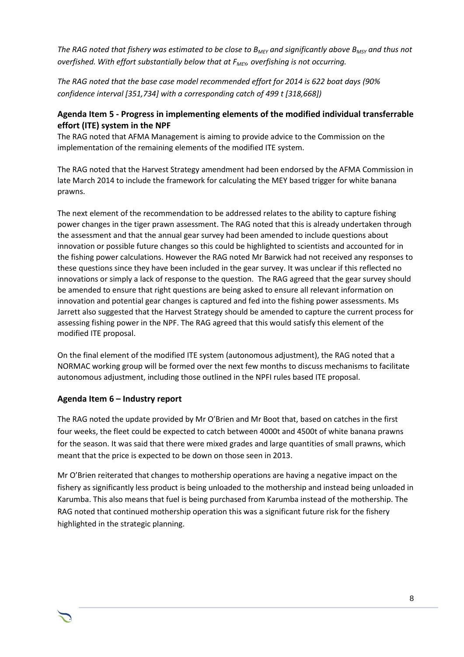*The RAG noted that fishery was estimated to be close to BMEY and significantly above BMSY and thus not overfished. With effort substantially below that at FMEY, overfishing is not occurring.* 

*The RAG noted that the base case model recommended effort for 2014 is 622 boat days (90% confidence interval [351,734] with a corresponding catch of 499 t [318,668])*

# **Agenda Item 5 - Progress in implementing elements of the modified individual transferrable effort (ITE) system in the NPF**

The RAG noted that AFMA Management is aiming to provide advice to the Commission on the implementation of the remaining elements of the modified ITE system.

The RAG noted that the Harvest Strategy amendment had been endorsed by the AFMA Commission in late March 2014 to include the framework for calculating the MEY based trigger for white banana prawns.

The next element of the recommendation to be addressed relates to the ability to capture fishing power changes in the tiger prawn assessment. The RAG noted that this is already undertaken through the assessment and that the annual gear survey had been amended to include questions about innovation or possible future changes so this could be highlighted to scientists and accounted for in the fishing power calculations. However the RAG noted Mr Barwick had not received any responses to these questions since they have been included in the gear survey. It was unclear if this reflected no innovations or simply a lack of response to the question. The RAG agreed that the gear survey should be amended to ensure that right questions are being asked to ensure all relevant information on innovation and potential gear changes is captured and fed into the fishing power assessments. Ms Jarrett also suggested that the Harvest Strategy should be amended to capture the current process for assessing fishing power in the NPF. The RAG agreed that this would satisfy this element of the modified ITE proposal.

On the final element of the modified ITE system (autonomous adjustment), the RAG noted that a NORMAC working group will be formed over the next few months to discuss mechanisms to facilitate autonomous adjustment, including those outlined in the NPFI rules based ITE proposal.

# **Agenda Item 6 – Industry report**

The RAG noted the update provided by Mr O'Brien and Mr Boot that, based on catches in the first four weeks, the fleet could be expected to catch between 4000t and 4500t of white banana prawns for the season. It was said that there were mixed grades and large quantities of small prawns, which meant that the price is expected to be down on those seen in 2013.

Mr O'Brien reiterated that changes to mothership operations are having a negative impact on the fishery as significantly less product is being unloaded to the mothership and instead being unloaded in Karumba. This also means that fuel is being purchased from Karumba instead of the mothership. The RAG noted that continued mothership operation this was a significant future risk for the fishery highlighted in the strategic planning.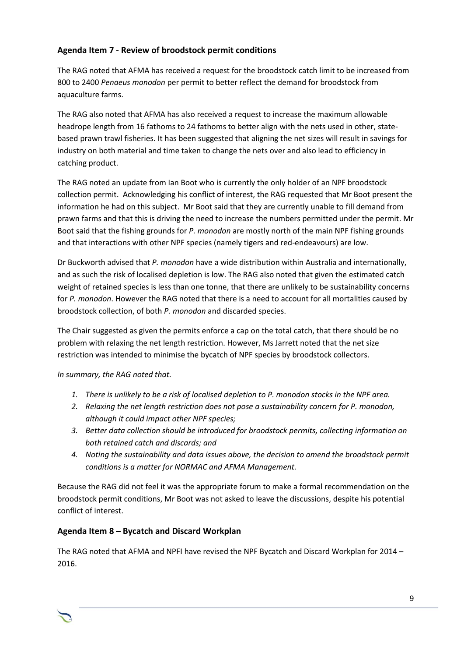# **Agenda Item 7 - Review of broodstock permit conditions**

The RAG noted that AFMA has received a request for the broodstock catch limit to be increased from 800 to 2400 *Penaeus monodon* per permit to better reflect the demand for broodstock from aquaculture farms.

The RAG also noted that AFMA has also received a request to increase the maximum allowable headrope length from 16 fathoms to 24 fathoms to better align with the nets used in other, statebased prawn trawl fisheries. It has been suggested that aligning the net sizes will result in savings for industry on both material and time taken to change the nets over and also lead to efficiency in catching product.

The RAG noted an update from Ian Boot who is currently the only holder of an NPF broodstock collection permit. Acknowledging his conflict of interest, the RAG requested that Mr Boot present the information he had on this subject. Mr Boot said that they are currently unable to fill demand from prawn farms and that this is driving the need to increase the numbers permitted under the permit. Mr Boot said that the fishing grounds for *P. monodon* are mostly north of the main NPF fishing grounds and that interactions with other NPF species (namely tigers and red-endeavours) are low.

Dr Buckworth advised that *P. monodon* have a wide distribution within Australia and internationally, and as such the risk of localised depletion is low. The RAG also noted that given the estimated catch weight of retained species is less than one tonne, that there are unlikely to be sustainability concerns for *P. monodon*. However the RAG noted that there is a need to account for all mortalities caused by broodstock collection, of both *P. monodon* and discarded species.

The Chair suggested as given the permits enforce a cap on the total catch, that there should be no problem with relaxing the net length restriction. However, Ms Jarrett noted that the net size restriction was intended to minimise the bycatch of NPF species by broodstock collectors.

*In summary, the RAG noted that.* 

- *1. There is unlikely to be a risk of localised depletion to P. monodon stocks in the NPF area.*
- *2. Relaxing the net length restriction does not pose a sustainability concern for P. monodon, although it could impact other NPF species;*
- *3. Better data collection should be introduced for broodstock permits, collecting information on both retained catch and discards; and*
- *4. Noting the sustainability and data issues above, the decision to amend the broodstock permit conditions is a matter for NORMAC and AFMA Management.*

Because the RAG did not feel it was the appropriate forum to make a formal recommendation on the broodstock permit conditions, Mr Boot was not asked to leave the discussions, despite his potential conflict of interest.

# **Agenda Item 8 – Bycatch and Discard Workplan**

The RAG noted that AFMA and NPFI have revised the NPF Bycatch and Discard Workplan for 2014 – 2016.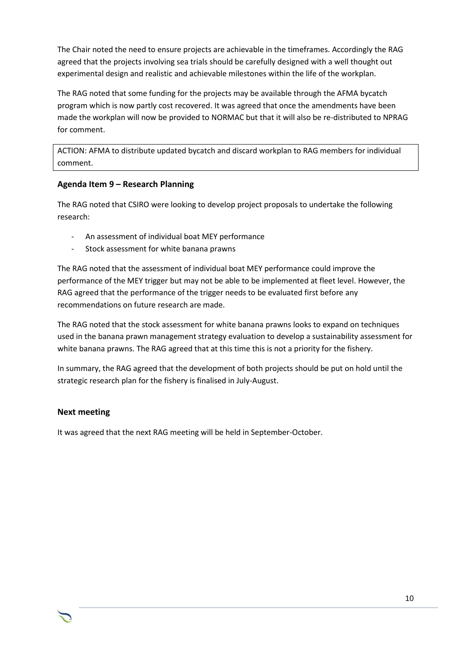The Chair noted the need to ensure projects are achievable in the timeframes. Accordingly the RAG agreed that the projects involving sea trials should be carefully designed with a well thought out experimental design and realistic and achievable milestones within the life of the workplan.

The RAG noted that some funding for the projects may be available through the AFMA bycatch program which is now partly cost recovered. It was agreed that once the amendments have been made the workplan will now be provided to NORMAC but that it will also be re-distributed to NPRAG for comment.

ACTION: AFMA to distribute updated bycatch and discard workplan to RAG members for individual comment.

# **Agenda Item 9 – Research Planning**

The RAG noted that CSIRO were looking to develop project proposals to undertake the following research:

- An assessment of individual boat MEY performance
- Stock assessment for white banana prawns

The RAG noted that the assessment of individual boat MEY performance could improve the performance of the MEY trigger but may not be able to be implemented at fleet level. However, the RAG agreed that the performance of the trigger needs to be evaluated first before any recommendations on future research are made.

The RAG noted that the stock assessment for white banana prawns looks to expand on techniques used in the banana prawn management strategy evaluation to develop a sustainability assessment for white banana prawns. The RAG agreed that at this time this is not a priority for the fishery.

In summary, the RAG agreed that the development of both projects should be put on hold until the strategic research plan for the fishery is finalised in July-August.

# **Next meeting**

It was agreed that the next RAG meeting will be held in September-October.